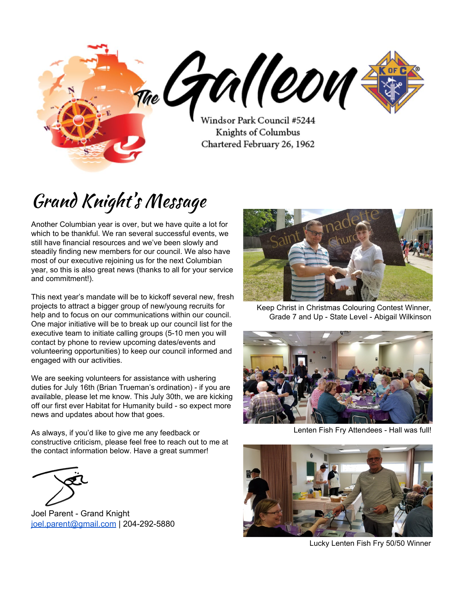

# Grand Knight' s Message

Another Columbian year is over, but we have quite a lot for which to be thankful. We ran several successful events, we still have financial resources and we've been slowly and steadily finding new members for our council. We also have most of our executive rejoining us for the next Columbian year, so this is also great news (thanks to all for your service and commitment!).

This next year's mandate will be to kickoff several new, fresh projects to attract a bigger group of new/young recruits for help and to focus on our communications within our council. One major initiative will be to break up our council list for the executive team to initiate calling groups (5-10 men you will contact by phone to review upcoming dates/events and volunteering opportunities) to keep our council informed and engaged with our activities.

We are seeking volunteers for assistance with ushering duties for July 16th (Brian Trueman's ordination) - if you are available, please let me know. This July 30th, we are kicking off our first ever Habitat for Humanity build - so expect more news and updates about how that goes.

As always, if you'd like to give me any feedback or constructive criticism, please feel free to reach out to me at the contact information below. Have a great summer!

Joel Parent - Grand Knight [joel.parent@gmail.com](mailto:joel.parent@gmail.com) | 204-292-5880



Keep Christ in Christmas Colouring Contest Winner, Grade 7 and Up - State Level - Abigail Wilkinson



Lenten Fish Fry Attendees - Hall was full!



Lucky Lenten Fish Fry 50/50 Winner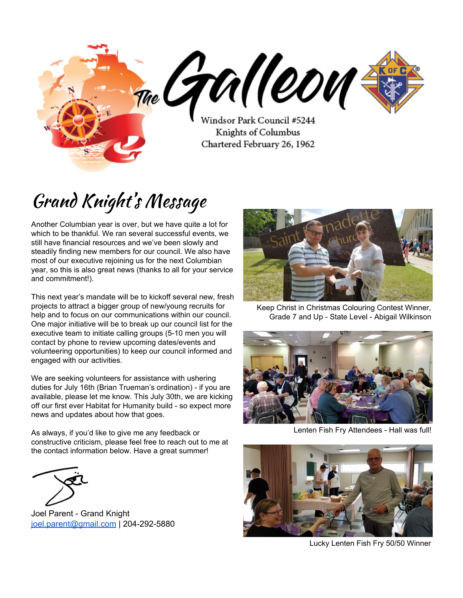## Minutes from last meeting

## **A YYHb[ '8 UHY. '>i bY'%28\$%'**

j

- 1. **7 U `` hc `CfXYf** (Grand knight stands at all times while presiding.)
	- a. **Df UnYf**

j

- b. Fc"7U"cZCZ**ZJWYfg**
- c. **CdYb]b[ CXY**
- 2. **7) Ud'UJbEg'A YggU[Y:** Brian Trueman attended. He is being ordained to the Transitional Deaconate on July 16th. He expressed his thanks to our council for the support he's received. He hoped the Knights could provide some help on July 16th, with things like parking guidance, seating, and possibly the setup of the upstairs hall for attendees in case we need extra space for viewing during mass. We would also be needed to reset the upstairs hall for the reception that will follow the service. Congratulations to Brian Trueman on your ordination!
- 3. **FYUXIb[ UbX 5 ddfc j U cZA lbi hYg cZDfYj lci g A YYHb[ The minutes were read, and amended to** reflect a seconded motion. Achicb'h: 'Uddfcj Y'Vm6f"6fjUbž&bX'Vm6f"8cb'6cXbUfWi\_" **7 Uff YX"**

#### 4. **; fUbX'?b][\Hog'FYdcfh''**

j

- a. GK thanked everyone for a great year, we have not run out of money! GK reported on updates from the State Convention: the Knights are under threat of extinction, but there is great potential for growth and a lot of good things going on. The State convention was an energizing experience, and there's still much "worthwhile-ness" in the Knights! We will continue the work!
	- i. Br. Scott (DGK) also noted that State is having trouble finding people, but they are still finding ways to get the necessary work done.
	- ii. Br. Scott also noted that the MB State website has been redesigned (by our very own GK) and it looks great! Check it out if you have a moment: <http://www.manitobastatecouncil.ca/>
- b. GK shared some plans for the upcoming Columbian year: Habitat build, as well as thoughts on how to invite new potential members to get involved by spearheading their own project, with support from our current members.
- c. Thank you to the current executive members who have agreed to stay on for another year in their current capacity. We hope to begin a mentoring program next year so that newer members can learn as they transition into executive roles in the future.
- d. The Link/Password to the SAFE training website is available on the 5244.ca website, please take the training if you have not already done so, and send GK the certification docs so they can be filed.

## 5. **HfYUgifYfEg FYdcfh**

j

- a. General Account: \$7,181.11
- b. Charity Account: \$6,706.32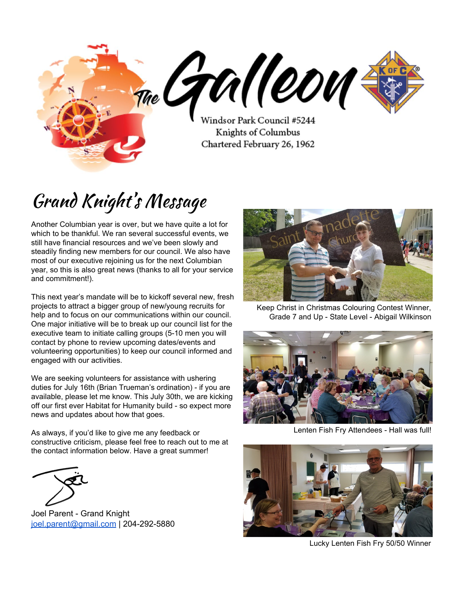- c. Vocations Account: \$389.98
- d. No other report.

j

j

j

- Y" A CHECB in: Uddfcj Y h Y Hf YUgi f YfEg f YdcfhVm6f"6f]Ub : fUgYf" &bX 6f"8 cb 6i WWJb]" **7 Uff YX"**
- 6. FYUX]b[`Vm; fUbX`?b][\hcZFYWY]dhg`cZHfYUgi fYfic`: ]bUbVJU`GYWYHJfmUbX`HfYUgi fYfBg` **Jci W Yf cZ8 Ydcglh**
- 7. **FYUX]b[ cZ6]`g'UbX'7 ca a i b]WUqcbg'** 
	- a. GK announced that the winner of this year's Keep Christ in Christmas poster contest is Abigail Wilkinson! Congratulations to Abigail!

## 8. **FYdcfhcZGYfj WYDfc[fUa 7 ca a ]HYYg**

- a. Br. Don Buccini reported on the successful degree ceremony that was held at CTK, and hosted by our Council. Thanks to Br. Klem for all of his help that day. Br. Don Buccini noted his concern about the low level of participation from our Council.
	- i. GK admitted that communication about the date wasn't very clear, apologizing and it's likely that many of our members didn't know of the date/details
- b. Br. Don also encouraged us to continue our efforts to recruit new members. This drive for membership has to be consistent and ongoing.
- c. Br. Cliff noted that on June 30th at the 11am mass there will be a Baptism, and asked if one of our Members would be available to make the presentation of the Rosary to the family. There are going to be 3 more presentations in July & August.
- d. Br. Cliff also spoke about one of our parishioners (Owen) who was raising money for Cancer Care after being diagnosed himself! Including some funds from our council, he raised a total of \$667 all on his own! Well done, Owen!
- e. Br. Scott advised that we can participate in a Habitat Build even though we don't have all \$2500 to contribute. The organizers have provided us with dates to pick! Note that any volunteers who wish to participate must complete a small amount of online training for safety purposes.
- f. Br. Bob Love announced that their team will be working at Siloam on Wednesday June 26th.
- g. GK thanked Br. Gerald Sliva for his help with the Applebees breakfast, which raised over \$900! Thanks also to Br. Morris Subtelny and Br. Brian Fraser.

## 9. **I b2b]g\YXGi g]bYgg**

j

j

- a. ICCD Tickets
- b. Grey Cup Tickets
- c. Appreciation Day
- d. Discussion about New Member Engagement
- e. Budget Discussion (tabled until an executive meeting in August/September)